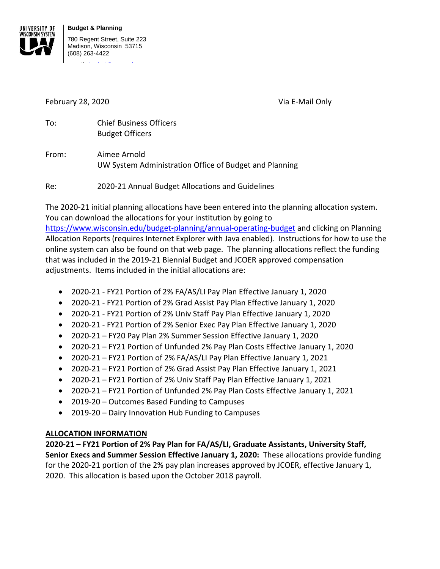

February 28, 2020 Via E-Mail Only

| To: | <b>Chief Business Officers</b> |
|-----|--------------------------------|
|     | <b>Budget Officers</b>         |

From: Aimee Arnold UW System Administration Office of Budget and Planning

Re: 2020-21 Annual Budget Allocations and Guidelines

The 2020-21 initial planning allocations have been entered into the planning allocation system. You can download the allocations for your institution by going to

<https://www.wisconsin.edu/budget-planning/annual-operating-budget> and clicking on Planning Allocation Reports (requires Internet Explorer with Java enabled). Instructions for how to use the online system can also be found on that web page. The planning allocations reflect the funding that was included in the 2019-21 Biennial Budget and JCOER approved compensation adjustments. Items included in the initial allocations are:

- 2020-21 FY21 Portion of 2% FA/AS/LI Pay Plan Effective January 1, 2020
- 2020-21 FY21 Portion of 2% Grad Assist Pay Plan Effective January 1, 2020
- 2020-21 FY21 Portion of 2% Univ Staff Pay Plan Effective January 1, 2020
- 2020-21 FY21 Portion of 2% Senior Exec Pay Plan Effective January 1, 2020
- 2020-21 FY20 Pay Plan 2% Summer Session Effective January 1, 2020
- 2020-21 FY21 Portion of Unfunded 2% Pay Plan Costs Effective January 1, 2020
- 2020-21 FY21 Portion of 2% FA/AS/LI Pay Plan Effective January 1, 2021
- 2020-21 FY21 Portion of 2% Grad Assist Pay Plan Effective January 1, 2021
- 2020-21 FY21 Portion of 2% Univ Staff Pay Plan Effective January 1, 2021
- 2020-21 FY21 Portion of Unfunded 2% Pay Plan Costs Effective January 1, 2021
- 2019-20 Outcomes Based Funding to Campuses
- 2019-20 Dairy Innovation Hub Funding to Campuses

## **ALLOCATION INFORMATION**

**2020-21 – FY21 Portion of 2% Pay Plan for FA/AS/LI, Graduate Assistants, University Staff, Senior Execs and Summer Session Effective January 1, 2020:** These allocations provide funding for the 2020-21 portion of the 2% pay plan increases approved by JCOER, effective January 1, 2020. This allocation is based upon the October 2018 payroll.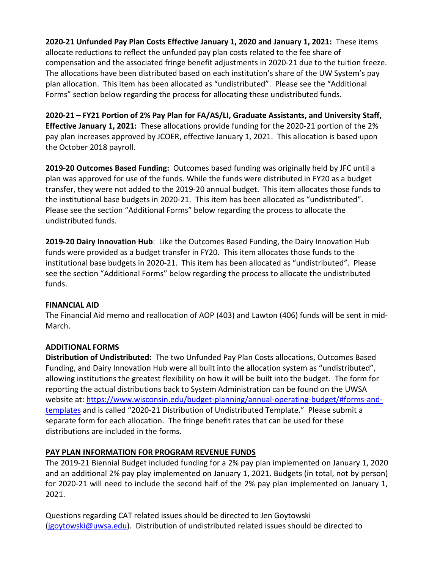**2020-21 Unfunded Pay Plan Costs Effective January 1, 2020 and January 1, 2021:** These items allocate reductions to reflect the unfunded pay plan costs related to the fee share of compensation and the associated fringe benefit adjustments in 2020-21 due to the tuition freeze. The allocations have been distributed based on each institution's share of the UW System's pay plan allocation. This item has been allocated as "undistributed". Please see the "Additional Forms" section below regarding the process for allocating these undistributed funds.

**2020-21 – FY21 Portion of 2% Pay Plan for FA/AS/LI, Graduate Assistants, and University Staff, Effective January 1, 2021:** These allocations provide funding for the 2020-21 portion of the 2% pay plan increases approved by JCOER, effective January 1, 2021. This allocation is based upon the October 2018 payroll.

**2019-20 Outcomes Based Funding:** Outcomes based funding was originally held by JFC until a plan was approved for use of the funds. While the funds were distributed in FY20 as a budget transfer, they were not added to the 2019-20 annual budget. This item allocates those funds to the institutional base budgets in 2020-21. This item has been allocated as "undistributed". Please see the section "Additional Forms" below regarding the process to allocate the undistributed funds.

**2019-20 Dairy Innovation Hub**: Like the Outcomes Based Funding, the Dairy Innovation Hub funds were provided as a budget transfer in FY20. This item allocates those funds to the institutional base budgets in 2020-21. This item has been allocated as "undistributed". Please see the section "Additional Forms" below regarding the process to allocate the undistributed funds.

## **FINANCIAL AID**

The Financial Aid memo and reallocation of AOP (403) and Lawton (406) funds will be sent in mid-March.

## **ADDITIONAL FORMS**

**Distribution of Undistributed:** The two Unfunded Pay Plan Costs allocations, Outcomes Based Funding, and Dairy Innovation Hub were all built into the allocation system as "undistributed", allowing institutions the greatest flexibility on how it will be built into the budget. The form for reporting the actual distributions back to System Administration can be found on the UWSA website at: [https://www.wisconsin.edu/budget-planning/annual-operating-budget/#forms-and](https://www.wisconsin.edu/budget-planning/annual-operating-budget/#forms-and-templates)[templates](https://www.wisconsin.edu/budget-planning/annual-operating-budget/#forms-and-templates) and is called "2020-21 Distribution of Undistributed Template." Please submit a separate form for each allocation. The fringe benefit rates that can be used for these distributions are included in the forms.

## **PAY PLAN INFORMATION FOR PROGRAM REVENUE FUNDS**

The 2019-21 Biennial Budget included funding for a 2% pay plan implemented on January 1, 2020 and an additional 2% pay play implemented on January 1, 2021. Budgets (in total, not by person) for 2020-21 will need to include the second half of the 2% pay plan implemented on January 1, 2021.

Questions regarding CAT related issues should be directed to Jen Goytowski [\(jgoytowski@uwsa.edu\)](mailto:jgoytowski@uwsa.edu). Distribution of undistributed related issues should be directed to